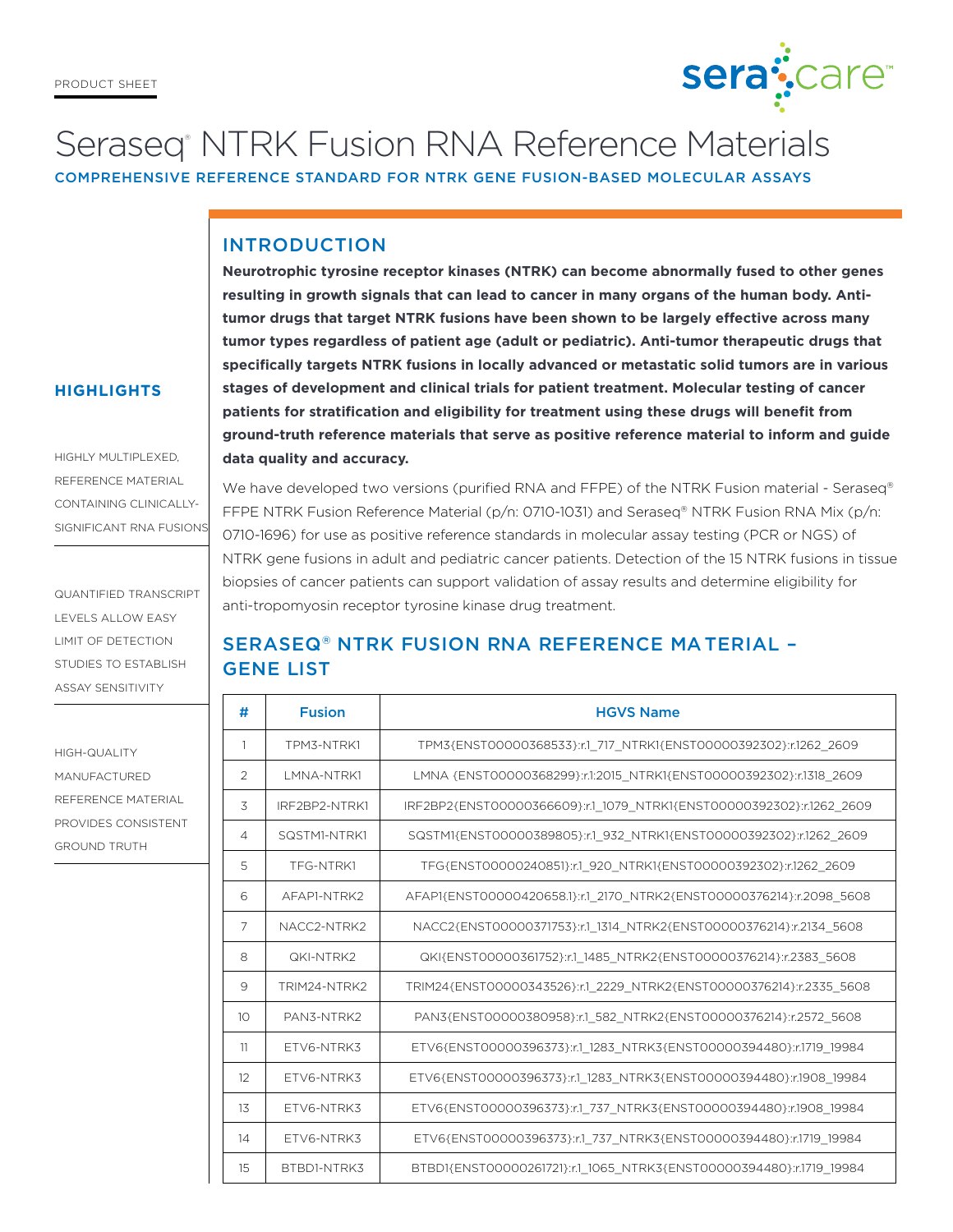

# Seraseq<sup>®</sup> NTRK Fusion RNA Reference Materials

COMPREHENSIVE REFERENCE STANDARD FOR NTRK GENE FUSION-BASED MOLECULAR ASSAYS

### INTRODUCTION

**Neurotrophic tyrosine receptor kinases (NTRK) can become abnormally fused to other genes resulting in growth signals that can lead to cancer in many organs of the human body. Antitumor drugs that target NTRK fusions have been shown to be largely effective across many tumor types regardless of patient age (adult or pediatric). Anti-tumor therapeutic drugs that specifically targets NTRK fusions in locally advanced or metastatic solid tumors are in various stages of development and clinical trials for patient treatment. Molecular testing of cancer patients for stratification and eligibility for treatment using these drugs will benefit from ground-truth reference materials that serve as positive reference material to inform and guide data quality and accuracy.**

HIGHLY MULTIPLEXED, REFERENCE MATERIAL

**HIGHLIGHTS**

CONTAINING CLINICALLY-SIGNIFICANT RNA FUSIONS

QUANTIFIED TRANSCRIPT LEVELS ALLOW EASY LIMIT OF DETECTION STUDIES TO ESTABLISH ASSAY SENSITIVITY

HIGH-QUALITY MANUFACTURED REFERENCE MATERIAL PROVIDES CONSISTENT GROUND TRUTH

We have developed two versions (purified RNA and FFPE) of the NTRK Fusion material - Seraseq® FFPE NTRK Fusion Reference Material (p/n: 0710-1031) and Seraseq® NTRK Fusion RNA Mix (p/n: 0710-1696) for use as positive reference standards in molecular assay testing (PCR or NGS) of NTRK gene fusions in adult and pediatric cancer patients. Detection of the 15 NTRK fusions in tissue biopsies of cancer patients can support validation of assay results and determine eligibility for anti-tropomyosin receptor tyrosine kinase drug treatment.

# SERASEQ® NTRK FUSION RNA REFERENCE MA TERIAL – GENE LIST

| #               | <b>Fusion</b>      | <b>HGVS Name</b>                                                     |  |  |  |
|-----------------|--------------------|----------------------------------------------------------------------|--|--|--|
| 1               | TPM3-NTRK1         | TPM3{ENST00000368533}:r.1 717 NTRK1{ENST00000392302}:r.1262 2609     |  |  |  |
| $\overline{2}$  | <b>I MNA-NTRK1</b> | LMNA {ENST00000368299}:r.1:2015 NTRK1{ENST00000392302}:r.1318 2609   |  |  |  |
| 3               | IRF2BP2-NTRK1      | IRF2BP2{ENST00000366609}:r.1 1079 NTRK1{ENST00000392302}:r.1262 2609 |  |  |  |
| 4               | SQSTM1-NTRK1       | SQSTM1{ENST00000389805}:r.1 932 NTRK1{ENST00000392302}:r.1262 2609   |  |  |  |
| 5               | TFG-NTRK1          | TFG{ENST00000240851}:r.1 920 NTRK1{ENST00000392302}:r.1262 2609      |  |  |  |
| 6               | AFAP1-NTRK2        | AFAPI{ENST00000420658.1}:r.1 2170 NTRK2{ENST00000376214}:r.2098 5608 |  |  |  |
| 7               | NACC2-NTRK2        | NACC2{ENST00000371753}:r.1 1314 NTRK2{ENST00000376214}:r.2134 5608   |  |  |  |
| 8               | QKI-NTRK2          | QKI{ENST00000361752}:r.1 1485 NTRK2{ENST00000376214}:r.2383 5608     |  |  |  |
| 9               | TRIM24-NTRK2       | TRIM24{ENST00000343526}:r.1 2229 NTRK2{ENST00000376214}:r.2335 5608  |  |  |  |
| 10 <sup>2</sup> | PAN3-NTRK2         | PAN3{ENST00000380958}:r.1 582 NTRK2{ENST00000376214}:r.2572 5608     |  |  |  |
| 11              | FTV6-NTRK3         | ETV6{ENST00000396373}:r.1 1283 NTRK3{ENST00000394480}:r.1719 19984   |  |  |  |
| 12              | FTV6-NTRK3         | ETV6{ENST00000396373}:r.1 1283 NTRK3{ENST00000394480}:r.1908 19984   |  |  |  |
| 1 <sub>3</sub>  | FTV6-NTRK3         | ETV6{ENST00000396373}:r.1 737 NTRK3{ENST00000394480}:r.1908 19984    |  |  |  |
| 14              | FTV6-NTRK3         | ETV6{ENST00000396373}:r.1 737 NTRK3{ENST00000394480}:r.1719 19984    |  |  |  |
| 15              | BTBD1-NTRK3        | BTBD1{ENST00000261721}:r.1 1065 NTRK3{ENST00000394480}:r.1719 19984  |  |  |  |